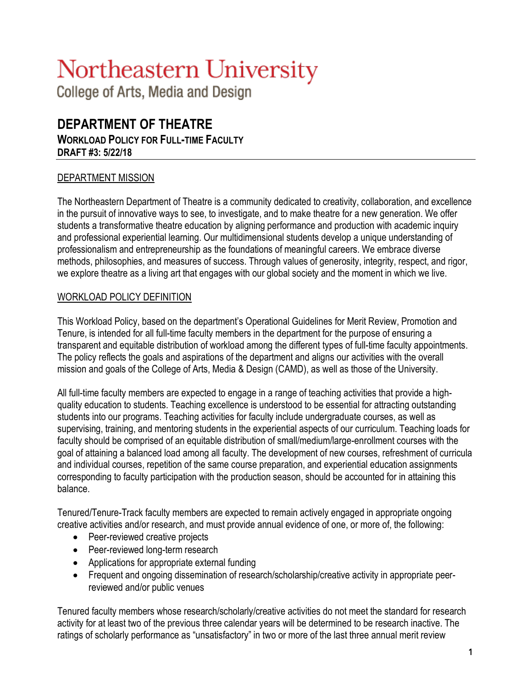# Northeastern University

College of Arts, Media and Design

# **DEPARTMENT OF THEATRE WORKLOAD POLICY FOR FULL-TIME FACULTY DRAFT #3: 5/22/18**

# DEPARTMENT MISSION

The Northeastern Department of Theatre is a community dedicated to creativity, collaboration, and excellence in the pursuit of innovative ways to see, to investigate, and to make theatre for a new generation. We offer students a transformative theatre education by aligning performance and production with academic inquiry and professional experiential learning. Our multidimensional students develop a unique understanding of professionalism and entrepreneurship as the foundations of meaningful careers. We embrace diverse methods, philosophies, and measures of success. Through values of generosity, integrity, respect, and rigor, we explore theatre as a living art that engages with our global society and the moment in which we live.

# WORKLOAD POLICY DEFINITION

This Workload Policy, based on the department's Operational Guidelines for Merit Review, Promotion and Tenure, is intended for all full-time faculty members in the department for the purpose of ensuring a transparent and equitable distribution of workload among the different types of full-time faculty appointments. The policy reflects the goals and aspirations of the department and aligns our activities with the overall mission and goals of the College of Arts, Media & Design (CAMD), as well as those of the University.

All full-time faculty members are expected to engage in a range of teaching activities that provide a highquality education to students. Teaching excellence is understood to be essential for attracting outstanding students into our programs. Teaching activities for faculty include undergraduate courses, as well as supervising, training, and mentoring students in the experiential aspects of our curriculum. Teaching loads for faculty should be comprised of an equitable distribution of small/medium/large-enrollment courses with the goal of attaining a balanced load among all faculty. The development of new courses, refreshment of curricula and individual courses, repetition of the same course preparation, and experiential education assignments corresponding to faculty participation with the production season, should be accounted for in attaining this balance.

Tenured/Tenure-Track faculty members are expected to remain actively engaged in appropriate ongoing creative activities and/or research, and must provide annual evidence of one, or more of, the following:

- Peer-reviewed creative projects
- Peer-reviewed long-term research
- Applications for appropriate external funding
- Frequent and ongoing dissemination of research/scholarship/creative activity in appropriate peerreviewed and/or public venues

Tenured faculty members whose research/scholarly/creative activities do not meet the standard for research activity for at least two of the previous three calendar years will be determined to be research inactive. The ratings of scholarly performance as "unsatisfactory" in two or more of the last three annual merit review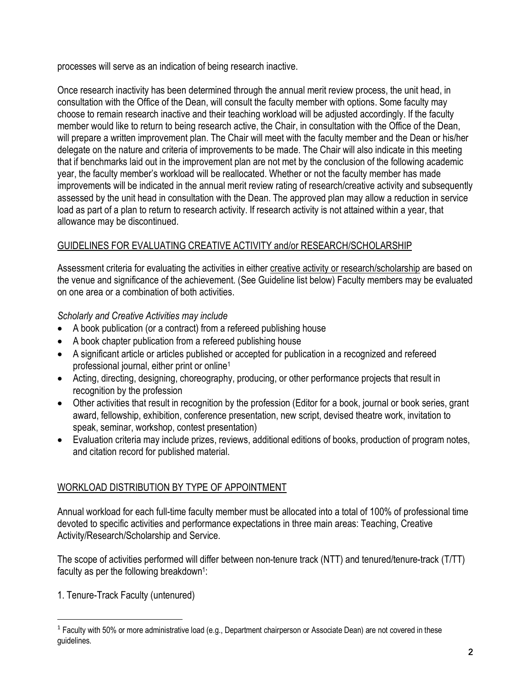processes will serve as an indication of being research inactive.

Once research inactivity has been determined through the annual merit review process, the unit head, in consultation with the Office of the Dean, will consult the faculty member with options. Some faculty may choose to remain research inactive and their teaching workload will be adjusted accordingly. If the faculty member would like to return to being research active, the Chair, in consultation with the Office of the Dean, will prepare a written improvement plan. The Chair will meet with the faculty member and the Dean or his/her delegate on the nature and criteria of improvements to be made. The Chair will also indicate in this meeting that if benchmarks laid out in the improvement plan are not met by the conclusion of the following academic year, the faculty member's workload will be reallocated. Whether or not the faculty member has made improvements will be indicated in the annual merit review rating of research/creative activity and subsequently assessed by the unit head in consultation with the Dean. The approved plan may allow a reduction in service load as part of a plan to return to research activity. If research activity is not attained within a year, that allowance may be discontinued.

# GUIDELINES FOR EVALUATING CREATIVE ACTIVITY and/or RESEARCH/SCHOLARSHIP

Assessment criteria for evaluating the activities in either creative activity or research/scholarship are based on the venue and significance of the achievement. (See Guideline list below) Faculty members may be evaluated on one area or a combination of both activities.

*Scholarly and Creative Activities may include* 

- A book publication (or a contract) from a refereed publishing house
- A book chapter publication from a refereed publishing house
- A significant article or articles published or accepted for publication in a recognized and refereed professional journal, either print or online1
- Acting, directing, designing, choreography, producing, or other performance projects that result in recognition by the profession
- Other activities that result in recognition by the profession (Editor for a book, journal or book series, grant award, fellowship, exhibition, conference presentation, new script, devised theatre work, invitation to speak, seminar, workshop, contest presentation)
- Evaluation criteria may include prizes, reviews, additional editions of books, production of program notes, and citation record for published material.

# WORKLOAD DISTRIBUTION BY TYPE OF APPOINTMENT

Annual workload for each full-time faculty member must be allocated into a total of 100% of professional time devoted to specific activities and performance expectations in three main areas: Teaching, Creative Activity/Research/Scholarship and Service.

The scope of activities performed will differ between non-tenure track (NTT) and tenured/tenure-track (T/TT) faculty as per the following breakdown<sup>1</sup>:

1. Tenure-Track Faculty (untenured)

 $1$  Faculty with 50% or more administrative load (e.g., Department chairperson or Associate Dean) are not covered in these guidelines.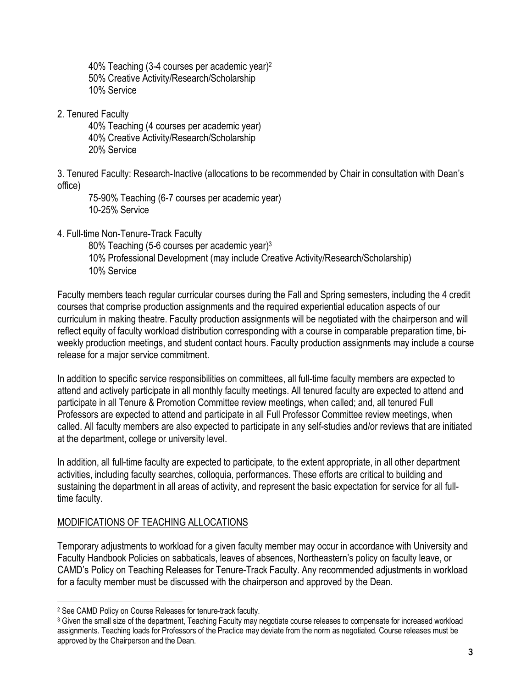40% Teaching (3-4 courses per academic year)2 50% Creative Activity/Research/Scholarship 10% Service

2. Tenured Faculty

40% Teaching (4 courses per academic year) 40% Creative Activity/Research/Scholarship 20% Service

3. Tenured Faculty: Research-Inactive (allocations to be recommended by Chair in consultation with Dean's office)

75-90% Teaching (6-7 courses per academic year) 10-25% Service

4. Full-time Non-Tenure-Track Faculty

80% Teaching (5-6 courses per academic year)3 10% Professional Development (may include Creative Activity/Research/Scholarship) 10% Service

Faculty members teach regular curricular courses during the Fall and Spring semesters, including the 4 credit courses that comprise production assignments and the required experiential education aspects of our curriculum in making theatre. Faculty production assignments will be negotiated with the chairperson and will reflect equity of faculty workload distribution corresponding with a course in comparable preparation time, biweekly production meetings, and student contact hours. Faculty production assignments may include a course release for a major service commitment.

In addition to specific service responsibilities on committees, all full-time faculty members are expected to attend and actively participate in all monthly faculty meetings. All tenured faculty are expected to attend and participate in all Tenure & Promotion Committee review meetings, when called; and, all tenured Full Professors are expected to attend and participate in all Full Professor Committee review meetings, when called. All faculty members are also expected to participate in any self-studies and/or reviews that are initiated at the department, college or university level.

In addition, all full-time faculty are expected to participate, to the extent appropriate, in all other department activities, including faculty searches, colloquia, performances. These efforts are critical to building and sustaining the department in all areas of activity, and represent the basic expectation for service for all fulltime faculty.

# MODIFICATIONS OF TEACHING ALLOCATIONS

Temporary adjustments to workload for a given faculty member may occur in accordance with University and Faculty Handbook Policies on sabbaticals, leaves of absences, Northeastern's policy on faculty leave, or CAMD's Policy on Teaching Releases for Tenure-Track Faculty. Any recommended adjustments in workload for a faculty member must be discussed with the chairperson and approved by the Dean.

 $\overline{\phantom{a}}$ <sup>2</sup> See CAMD Policy on Course Releases for tenure-track faculty.

<sup>&</sup>lt;sup>3</sup> Given the small size of the department, Teaching Faculty may negotiate course releases to compensate for increased workload assignments. Teaching loads for Professors of the Practice may deviate from the norm as negotiated. Course releases must be approved by the Chairperson and the Dean.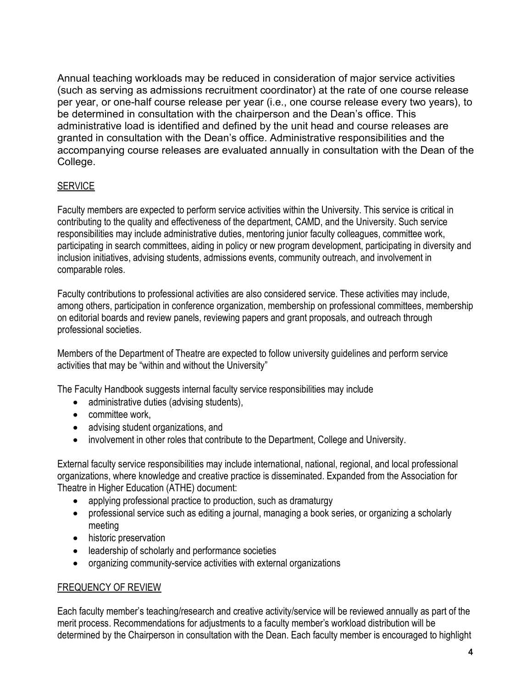Annual teaching workloads may be reduced in consideration of major service activities (such as serving as admissions recruitment coordinator) at the rate of one course release per year, or one-half course release per year (i.e., one course release every two years), to be determined in consultation with the chairperson and the Dean's office. This administrative load is identified and defined by the unit head and course releases are granted in consultation with the Dean's office. Administrative responsibilities and the accompanying course releases are evaluated annually in consultation with the Dean of the College.

# **SERVICE**

Faculty members are expected to perform service activities within the University. This service is critical in contributing to the quality and effectiveness of the department, CAMD, and the University. Such service responsibilities may include administrative duties, mentoring junior faculty colleagues, committee work, participating in search committees, aiding in policy or new program development, participating in diversity and inclusion initiatives, advising students, admissions events, community outreach, and involvement in comparable roles.

Faculty contributions to professional activities are also considered service. These activities may include, among others, participation in conference organization, membership on professional committees, membership on editorial boards and review panels, reviewing papers and grant proposals, and outreach through professional societies.

Members of the Department of Theatre are expected to follow university guidelines and perform service activities that may be "within and without the University"

The Faculty Handbook suggests internal faculty service responsibilities may include

- administrative duties (advising students),
- committee work,
- advising student organizations, and
- involvement in other roles that contribute to the Department, College and University.

External faculty service responsibilities may include international, national, regional, and local professional organizations, where knowledge and creative practice is disseminated. Expanded from the Association for Theatre in Higher Education (ATHE) document:

- applying professional practice to production, such as dramaturgy
- professional service such as editing a journal, managing a book series, or organizing a scholarly meeting
- historic preservation
- leadership of scholarly and performance societies
- organizing community-service activities with external organizations

# FREQUENCY OF REVIEW

Each faculty member's teaching/research and creative activity/service will be reviewed annually as part of the merit process. Recommendations for adjustments to a faculty member's workload distribution will be determined by the Chairperson in consultation with the Dean. Each faculty member is encouraged to highlight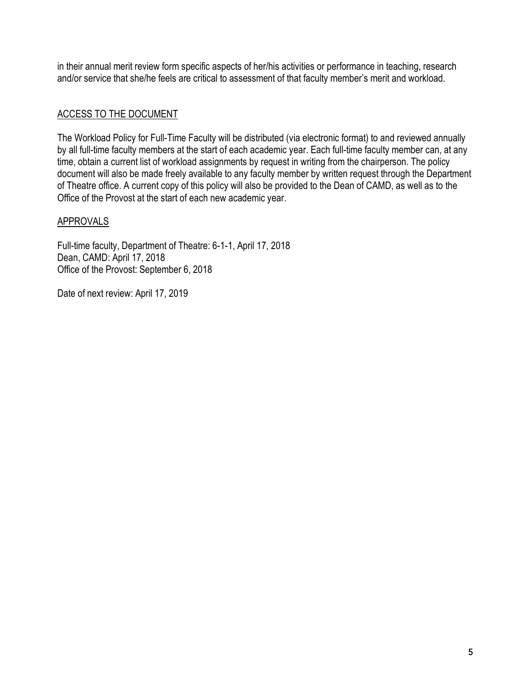in their annual merit review form specific aspects of her/his activities or performance in teaching, research and/or service that she/he feels are critical to assessment of that faculty member's merit and workload.

# ACCESS TO THE DOCUMENT

The Workload Policy for Full-Time Faculty will be distributed (via electronic format) to and reviewed annually by all full-time faculty members at the start of each academic year. Each full-time faculty member can, at any time, obtain a current list of workload assignments by request in writing from the chairperson. The policy document will also be made freely available to any faculty member by written request through the Department of Theatre office. A current copy of this policy will also be provided to the Dean of CAMD, as well as to the Office of the Provost at the start of each new academic year.

#### APPROVALS

Full-time faculty, Department of Theatre: 6-1-1, April 17, 2018 Dean, CAMD: April 17, 2018 Office of the Provost: September 6, 2018

Date of next review: April 17, 2019